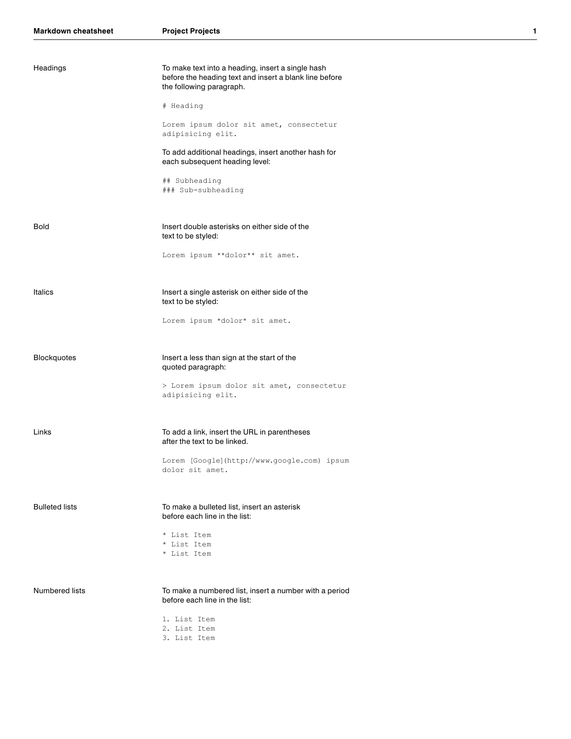| Headings              | To make text into a heading, insert a single hash<br>before the heading text and insert a blank line before<br>the following paragraph. |
|-----------------------|-----------------------------------------------------------------------------------------------------------------------------------------|
|                       | # Heading                                                                                                                               |
|                       | Lorem ipsum dolor sit amet, consectetur<br>adipisicing elit.                                                                            |
|                       | To add additional headings, insert another hash for<br>each subsequent heading level:                                                   |
|                       | ## Subheading<br>### Sub-subheading                                                                                                     |
| <b>Bold</b>           | Insert double asterisks on either side of the<br>text to be styled:                                                                     |
|                       | Lorem ipsum **dolor** sit amet.                                                                                                         |
| Italics               | Insert a single asterisk on either side of the<br>text to be styled:                                                                    |
|                       | Lorem ipsum *dolor* sit amet.                                                                                                           |
| <b>Blockquotes</b>    | Insert a less than sign at the start of the<br>quoted paragraph:                                                                        |
|                       | > Lorem ipsum dolor sit amet, consectetur<br>adipisicing elit.                                                                          |
| Links                 | To add a link, insert the URL in parentheses<br>after the text to be linked.                                                            |
|                       | Lorem [Google](http://www.google.com) ipsum<br>dolor sit amet.                                                                          |
| <b>Bulleted lists</b> | To make a bulleted list, insert an asterisk<br>before each line in the list:                                                            |
|                       | * List Item<br>* List Item<br>* List Item                                                                                               |
| <b>Numbered lists</b> | To make a numbered list, insert a number with a period<br>before each line in the list:                                                 |
|                       | 1. List Item<br>2. List Item<br>3. List Item                                                                                            |